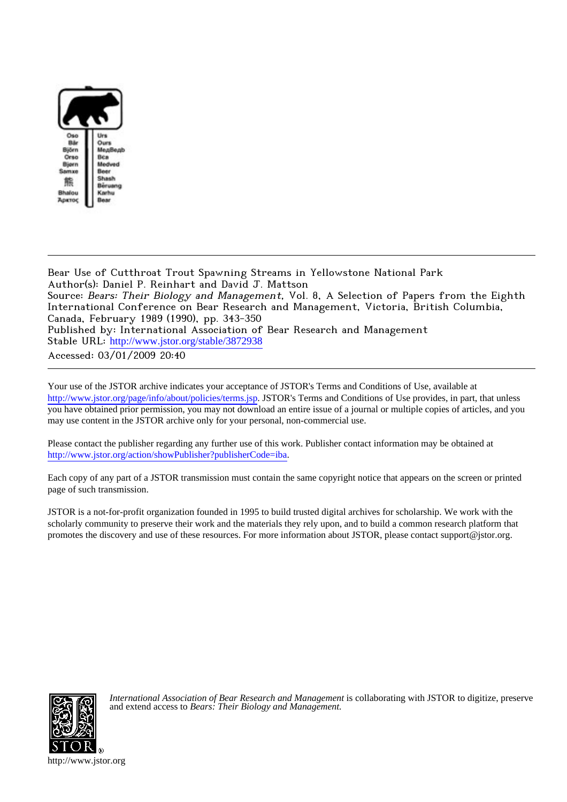

Bear Use of Cutthroat Trout Spawning Streams in Yellowstone National Park Author(s): Daniel P. Reinhart and David J. Mattson Source: Bears: Their Biology and Management, Vol. 8, A Selection of Papers from the Eighth International Conference on Bear Research and Management, Victoria, British Columbia, Canada, February 1989 (1990), pp. 343-350 Published by: International Association of Bear Research and Management Stable URL: [http://www.jstor.org/stable/3872938](http://www.jstor.org/stable/3872938?origin=JSTOR-pdf) Accessed: 03/01/2009 20:40

Your use of the JSTOR archive indicates your acceptance of JSTOR's Terms and Conditions of Use, available at <http://www.jstor.org/page/info/about/policies/terms.jsp>. JSTOR's Terms and Conditions of Use provides, in part, that unless you have obtained prior permission, you may not download an entire issue of a journal or multiple copies of articles, and you may use content in the JSTOR archive only for your personal, non-commercial use.

Please contact the publisher regarding any further use of this work. Publisher contact information may be obtained at <http://www.jstor.org/action/showPublisher?publisherCode=iba>.

Each copy of any part of a JSTOR transmission must contain the same copyright notice that appears on the screen or printed page of such transmission.

JSTOR is a not-for-profit organization founded in 1995 to build trusted digital archives for scholarship. We work with the scholarly community to preserve their work and the materials they rely upon, and to build a common research platform that promotes the discovery and use of these resources. For more information about JSTOR, please contact support@jstor.org.



*International Association of Bear Research and Management* is collaborating with JSTOR to digitize, preserve and extend access to *Bears: Their Biology and Management.*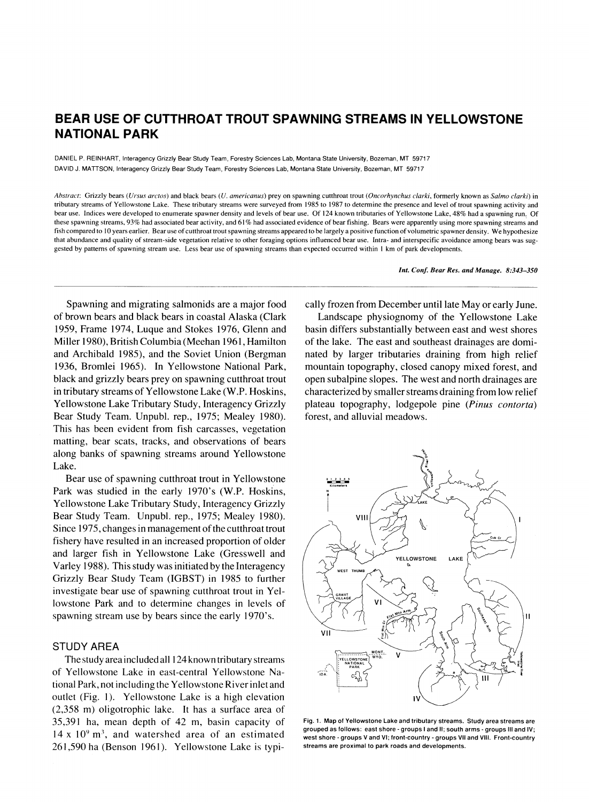# **BEAR USE OF CUTTHROAT TROUT SPAWNING STREAMS IN YELLOWSTONE NATIONAL PARK**

**DANIEL P. REINHART, Interagency Grizzly Bear Study Team, Forestry Sciences Lab, Montana State University, Bozeman, MT 59717 DAVID J. MATTSON, Interagency Grizzly Bear Study Team, Forestry Sciences Lab, Montana State University, Bozeman, MT 59717** 

**Abstract: Grizzly bears (Ursus arctos) and black bears (U. americanus) prey on spawning cutthroat trout (Oncorhynchus clarki, formerly known as Salmo clarki) in tributary streams of Yellowstone Lake. These tributary streams were surveyed from 1985 to 1987 to determine the presence and level of trout spawning activity and bear use. Indices were developed to enumerate spawner density and levels of bear use. Of 124 known tributaries of Yellowstone Lake, 48% had a spawning run. Of these spawning streams, 93% had associated bear activity, and 61% had associated evidence of bear fishing. Bears were apparently using more spawning streams and fish compared to 10 years earlier. Bear use of cutthroat trout spawning streams appeared to be largely a positive function of volumetric spawner density. We hypothesize that abundance and quality of stream-side vegetation relative to other foraging options influenced bear use. Intra- and interspecific avoidance among bears was suggested by patterns of spawning stream use. Less bear use of spawning streams than expected occurred within 1 km of park developments.** 

**Int. Conf. Bear Res. and Manage. 8:343-350** 

**Spawning and migrating salmonids are a major food of brown bears and black bears in coastal Alaska (Clark 1959, Frame 1974, Luque and Stokes 1976, Glenn and Miller 1980), British Columbia (Meehan 1961, Hamilton and Archibald 1985), and the Soviet Union (Bergman 1936, Bromlei 1965). In Yellowstone National Park, black and grizzly bears prey on spawning cutthroat trout in tributary streams of Yellowstone Lake (W.P. Hoskins, Yellowstone Lake Tributary Study, Interagency Grizzly Bear Study Team. Unpubl. rep., 1975; Mealey 1980). This has been evident from fish carcasses, vegetation matting, bear scats, tracks, and observations of bears along banks of spawning streams around Yellowstone Lake.** 

**Bear use of spawning cutthroat trout in Yellowstone Park was studied in the early 1970's (W.P. Hoskins, Yellowstone Lake Tributary Study, Interagency Grizzly Bear Study Team. Unpubl. rep., 1975; Mealey 1980). Since 1975, changes in management of the cutthroat rout fishery have resulted in an increased proportion of older and larger fish in Yellowstone Lake (Gresswell and Varley 1988). This study was initiated by the Interagency Grizzly Bear Study Team (IGBST) in 1985 to further investigate bear use of spawning cutthroat trout in Yellowstone Park and to determine changes in levels of spawning stream use by bears since the early 1970's.** 

# **STUDY AREA**

**The study area included all 124 known tributary streams of Yellowstone Lake in east-central Yellowstone National Park, not including the Yellowstone River inlet and outlet (Fig. 1). Yellowstone Lake is a high elevation (2,358 m) oligotrophic lake. It has a surface area of 35,391 ha, mean depth of 42 m, basin capacity of 14 x 109 m3, and watershed area of an estimated 261,590 ha (Benson 1961). Yellowstone Lake is typi-** **cally frozen from December until late May or early June.** 

**Landscape physiognomy of the Yellowstone Lake basin differs substantially between east and west shores of the lake. The east and southeast drainages are dominated by larger tributaries draining from high relief mountain topography, closed canopy mixed forest, and open subalpine slopes. The west and north drainages are characterized by smaller streams draining from low relief plateau topography, lodgepole pine (Pinus contorta) forest, and alluvial meadows.** 



**Fig. 1. Map of Yellowstone Lake and tributary streams. Study area streams are grouped as follows: east shore - groups I and II; south arms - groups III and IV; west shore - groups V and VI; front-country - groups VII and VIII. Front-country streams are proximal to park roads and developments.**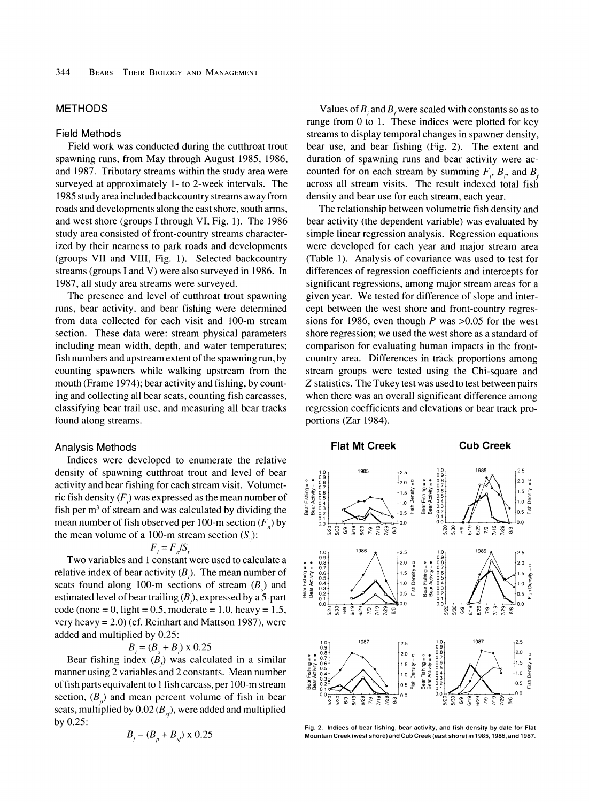## **METHODS**

#### **Field Methods**

**Field work was conducted during the cutthroat trout spawning runs, from May through August 1985, 1986, and 1987. Tributary streams within the study area were surveyed at approximately 1- to 2-week intervals. The 1985 study area included backcountry streams away from roads and developments along the east shore, south arms, and west shore (groups I through VI, Fig. 1). The 1986 study area consisted of front-country streams characterized by their nearness to park roads and developments (groups VII and VIII, Fig. 1). Selected backcountry streams (groups I and V) were also surveyed in 1986. In 1987, all study area streams were surveyed.** 

**The presence and level of cutthroat trout spawning runs, bear activity, and bear fishing were determined from data collected for each visit and 100-m stream section. These data were: stream physical parameters including mean width, depth, and water temperatures; fish numbers and upstream extent of the spawning run, by counting spawners while walking upstream from the mouth (Frame 1974); bear activity and fishing, by counting and collecting all bear scats, counting fish carcasses, classifying bear trail use, and measuring all bear tracks found along streams.** 

#### **Analysis Methods**

**Indices were developed to enumerate the relative density of spawning cutthroat trout and level of bear activity and bear fishing for each stream visit. Volumet**ric fish density  $(F)$  was expressed as the mean number of **fish per m3 of stream and was calculated by dividing the**  mean number of fish observed per 100-m section  $(F_n)$  by the mean volume of a 100-m stream section  $(S_n)$ :

$$
F_i = F_n / S_v
$$

**Two variables and 1 constant were used to calculate a**  relative index of bear activity  $(B_1)$ . The mean number of scats found along 100-m sections of stream  $(B)$  and **estimated level of bear trailing (B), expressed by a 5-part code (none = 0, light = 0.5, moderate = 1.0, heavy = 1.5, very heavy = 2.0) (cf. Reinhart and Mattson 1987), were added and multiplied by 0.25:** 

$$
B_i = (B_s + B_i) \times 0.25
$$

Bear fishing index  $(B<sub>i</sub>)$  was calculated in a similar **manner using 2 variables and 2 constants. Mean number of fish parts equivalent to I fish carcass, per 100-m stream**  section,  $(B_{p})$  and mean percent volume of fish in bear scats, multiplied by  $0.02 (B_{\nu})$ , were added and multiplied **by 0.25:** 

$$
B_f = (B_p + B_{sf}) \times 0.25
$$

Values of  $B_i$  and  $B_j$  were scaled with constants so as to **range from 0 to 1. These indices were plotted for key streams to display temporal changes in spawner density, bear use, and bear fishing (Fig. 2). The extent and duration of spawning runs and bear activity were ac**counted for on each stream by summing  $F_i$ ,  $B_i$ , and  $B_i$ **across all stream visits. The result indexed total fish density and bear use for each stream, each year.** 

**The relationship between volumetric fish density and bear activity (the dependent variable) was evaluated by simple linear regression analysis. Regression equations were developed for each year and major stream area (Table 1). Analysis of covariance was used to test for differences of regression coefficients and intercepts for significant regressions, among major stream areas for a given year. We tested for difference of slope and intercept between the west shore and front-country regressions for 1986, even though P was >0.05 for the west shore regression; we used the west shore as a standard of comparison for evaluating human impacts in the frontcountry area. Differences in track proportions among stream groups were tested using the Chi-square and Z statistics. The Tukey test was used to test between pairs when there was an overall significant difference among regression coefficients and elevations or bear track proportions (Zar 1984).** 



**Fig. 2. Indices of bear fishing, bear activity, and fish density by date for Flat Mountain Creek (west shore) and Cub Creek (east shore) in 1985,1986, and 1987.**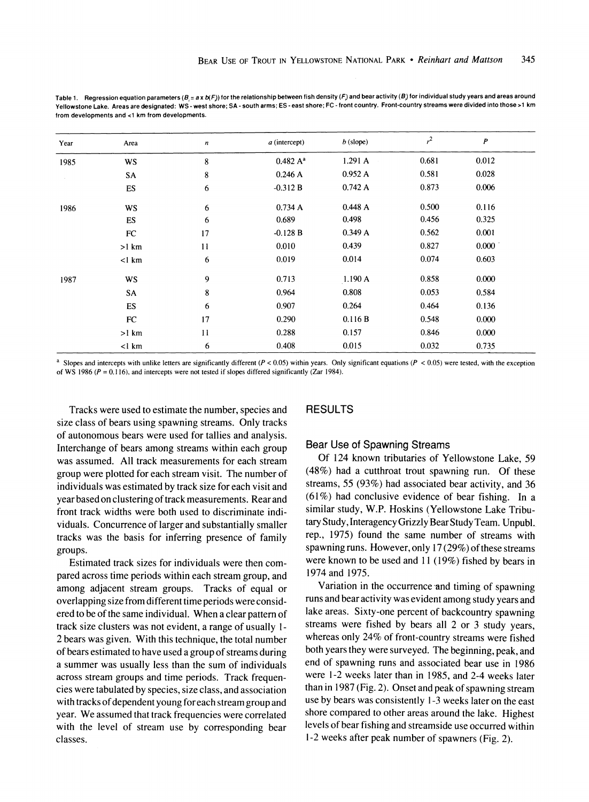Table 1. Regression equation parameters ( $B_i = a \times D(F)$ ) for the relationship between fish density (F) and bear activity (B) for individual study years and areas around **Yellowstone Lake. Areas are designated: WS - west shore; SA - south arms; ES - east shore; FC - front country. Front-country streams were divided into those >1 km from developments and <1 km from developments.** 

| Year | Area      | $\boldsymbol{n}$ | $a$ (intercept)      | $b$ (slope) | $r^2$ | $\boldsymbol{P}$ |  |
|------|-----------|------------------|----------------------|-------------|-------|------------------|--|
| 1985 | <b>WS</b> | 8                | 0.482 A <sup>a</sup> | 1.291A      | 0.681 | 0.012            |  |
|      | SA        | 8                | 0.246A               | 0.952A      | 0.581 | 0.028            |  |
|      | ES        | 6                | $-0.312 B$           | 0.742A      | 0.873 | 0.006            |  |
| 1986 | <b>WS</b> | 6                | 0.734A               | 0.448A      | 0.500 | 0.116            |  |
|      | <b>ES</b> | 6                | 0.689                | 0.498       | 0.456 | 0.325            |  |
|      | FC        | 17               | $-0.128 B$           | 0.349A      | 0.562 | 0.001            |  |
|      | $>1$ km   | 11               | 0.010                | 0.439       | 0.827 | 0.000            |  |
|      | $<$ l km  | 6                | 0.019                | 0.014       | 0.074 | 0.603            |  |
| 1987 | <b>WS</b> | 9                | 0.713                | 1.190 A     | 0.858 | 0.000            |  |
|      | SA        | 8                | 0.964                | 0.808       | 0.053 | 0.584            |  |
|      | <b>ES</b> | 6                | 0.907                | 0.264       | 0.464 | 0.136            |  |
|      | FC        | 17               | 0.290                | 0.116 B     | 0.548 | 0.000            |  |
|      | $>1$ km   | 11               | 0.288                | 0.157       | 0.846 | 0.000            |  |
|      | $<$ l km  | 6                | 0.408                | 0.015       | 0.032 | 0.735            |  |

**a Slopes and intercepts with unlike letters are significantly different (P < 0.05) within years. Only significant equations (P < 0.05) were tested, with the exception**  of WS 1986 ( $P = 0.116$ ), and intercepts were not tested if slopes differed significantly (Zar 1984).

**Tracks were used to estimate the number, species and size class of bears using spawning streams. Only tracks of autonomous bears were used for tallies and analysis. Interchange of bears among streams within each group was assumed. All track measurements for each stream group were plotted for each stream visit. The number of individuals was estimated by track size for each visit and year based on clustering of track measurements. Rear and front track widths were both used to discriminate individuals. Concurrence of larger and substantially smaller tracks was the basis for inferring presence of family groups.** 

**Estimated track sizes for individuals were then compared across time periods within each stream group, and among adjacent stream groups. Tracks of equal or overlapping size from different time periods were considered to be of the same individual. When a clear pattern of track size clusters was not evident, a range of usually 1- 2 bears was given. With this technique, the total number of bears estimated to have used a group of streams during a summer was usually less than the sum of individuals across stream groups and time periods. Track frequencies were tabulated by species, size class, and association with tracks of dependent young for each stream group and year. We assumed that track frequencies were correlated with the level of stream use by corresponding bear classes.** 

## **RESULTS**

#### **Bear Use of Spawning Streams**

**Of 124 known tributaries of Yellowstone Lake, 59 (48%) had a cutthroat trout spawning run. Of these streams, 55 (93%) had associated bear activity, and 36 (61%) had conclusive evidence of bear fishing. In a similar study, W.P. Hoskins (Yellowstone Lake Tributary Study, Interagency Grizzly Bear Study Team. Unpubl. rep., 1975) found the same number of streams with spawning runs. However, only 17 (29%) of these streams were known to be used and 11 (19%) fished by bears in 1974 and 1975.** 

**Variation in the occurrence-and timing of spawning runs and bear activity was evident among study years and lake areas. Sixty-one percent of backcountry spawning streams were fished by bears all 2 or 3 study years, whereas only 24% of front-country streams were fished both years they were surveyed. The beginning, peak, and end of spawning runs and associated bear use in 1986 were 1-2 weeks later than in 1985, and 2-4 weeks later than in 1987 (Fig. 2). Onset and peak of spawning stream use by bears was consistently 1-3 weeks later on the east shore compared to other areas around the lake. Highest levels of bear fishing and streamside use occurred within 1-2 weeks after peak number of spawners (Fig. 2).**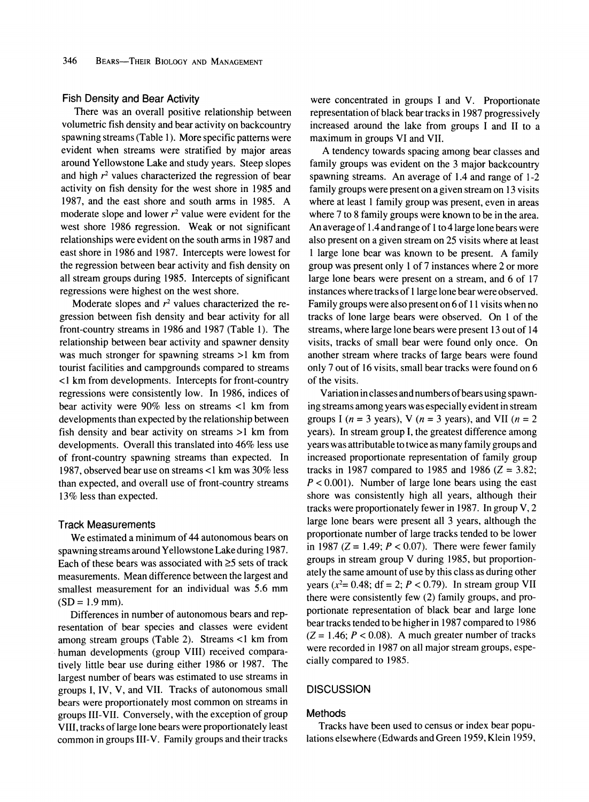### **Fish Density and Bear Activity**

**There was an overall positive relationship between volumetric fish density and bear activity on backcountry spawning streams (Table 1). More specific patterns were evident when streams were stratified by major areas around Yellowstone Lake and study years. Steep slopes and high r2 values characterized the regression of bear activity on fish density for the west shore in 1985 and 1987, and the east shore and south arms in 1985. A**  moderate slope and lower  $r^2$  value were evident for the **west shore 1986 regression. Weak or not significant relationships were evident on the south arms in 1987 and east shore in 1986 and 1987. Intercepts were lowest for the regression between bear activity and fish density on all stream groups during 1985. Intercepts of significant regressions were highest on the west shore.** 

Moderate slopes and  $r^2$  values characterized the re**gression between fish density and bear activity for all front-country streams in 1986 and 1987 (Table 1). The relationship between bear activity and spawner density was much stronger for spawning streams >1 km from tourist facilities and campgrounds compared to streams <1 km from developments. Intercepts for front-country regressions were consistently low. In 1986, indices of bear activity were 90% less on streams <1 km from developments than expected by the relationship between fish density and bear activity on streams >1 km from developments. Overall this translated into 46% less use of front-country spawning streams than expected. In 1987, observed bear use on streams <1 km was 30% less than expected, and overall use of front-country streams 13% less than expected.** 

## **Track Measurements**

**We estimated a minimum of 44 autonomous bears on spawning streams around Yellowstone Lake during 1987.**  Each of these bears was associated with  $\geq$ 5 sets of track **measurements. Mean difference between the largest and smallest measurement for an individual was 5.6 mm (SD = 1.9 mm).** 

**Differences in number of autonomous bears and representation of bear species and classes were evident among stream groups (Table 2). Streams <1 km from human developments (group VIII) received comparatively little bear use during either 1986 or 1987. The largest number of bears was estimated to use streams in groups I, IV, V, and VII. Tracks of autonomous small bears were proportionately most common on streams in groups III-VII. Conversely, with the exception of group VIII, tracks of large lone bears were proportionately least common in groups III-V. Family groups and their tracks** 

**were concentrated in groups I and V. Proportionate representation of black bear tracks in 1987 progressively increased around the lake from groups I and II to a maximum in groups VI and VII.** 

**A tendency towards spacing among bear classes and family groups was evident on the 3 major backcountry spawning streams. An average of 1.4 and range of 1-2 family groups were present on a given stream on 13 visits where at least 1 family group was present, even in areas where 7 to 8 family groups were known to be in the area. An average of 1.4 and range of 1 to 4 large lone bears were also present on a given stream on 25 visits where at least 1 large lone bear was known to be present. A family group was present only 1 of 7 instances where 2 or more large lone bears were present on a stream, and 6 of 17 instances where tracks of 1 large lone bear were observed. Family groups were also present on 6 of 11 visits when no tracks of lone large bears were observed. On 1 of the streams, where large lone bears were present 13 out of 14 visits, tracks of small bear were found only once. On another stream where tracks of large bears were found only 7 out of 16 visits, small bear tracks were found on 6 of the visits.** 

**Variation in classes and numbers of bears using spawning streams among years was especially evident in stream**  groups I ( $n = 3$  years), V ( $n = 3$  years), and VII ( $n = 2$ **years). In stream group I, the greatest difference among years was attributable to twice as many family groups and increased proportionate representation of family group tracks in 1987 compared to 1985 and 1986 (Z = 3.82; P < 0.001). Number of large lone bears using the east shore was consistently high all years, although their tracks were proportionately fewer in 1987. In group V, 2 large lone bears were present all 3 years, although the proportionate number of large tracks tended to be lower**  in 1987 ( $Z = 1.49$ ;  $P < 0.07$ ). There were fewer family **groups in stream group V during 1985, but proportionately the same amount of use by this class as during other years** ( $x^2$ = 0.48; df = 2; P < 0.79). In stream group VII **there were consistently few (2) family groups, and proportionate representation of black bear and large lone bear tracks tended to be higher in 1987 compared to 1986**   $(Z = 1.46; P < 0.08)$ . A much greater number of tracks **were recorded in 1987 on all major stream groups, especially compared to 1985.** 

## **DISCUSSION**

#### **Methods**

**Tracks have been used to census or index bear populations elsewhere (Edwards and Green 1959, Klein 1959,**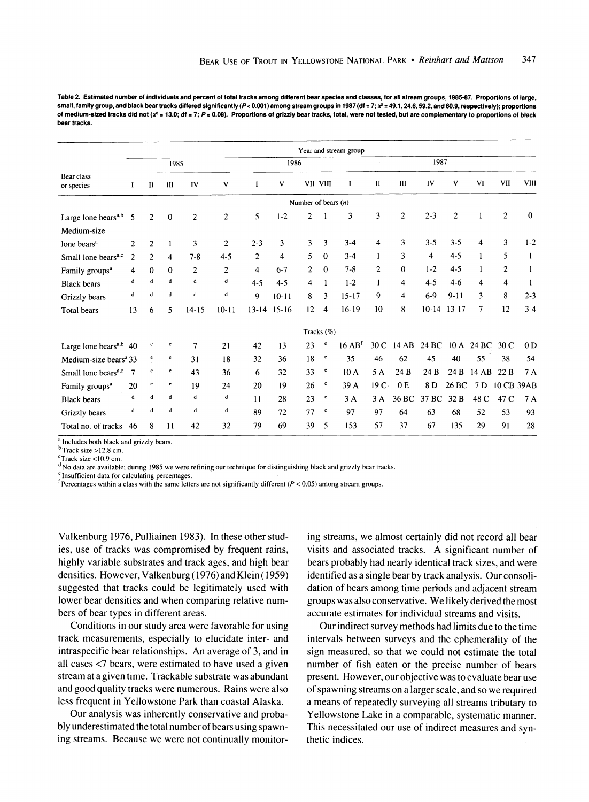**Table 2. Estimated number of individuals and percent of total tracks among different bear species and classes, for all stream groups, 1985-87. Proportions of large,**  small, family group, and black bear tracks differed significantly ( $P < 0.001$ ) among stream groups in 1987 (df = 7;  $x^2$  = 49.1, 24.6, 59.2, and 80.9, respectively); proportions of medium-sized tracks did not (x<sup>2</sup> = 13.0; df = 7; P = 0.08). Proportions of grizzly bear tracks, total, were not tested, but are complementary to proportions of black **bear tracks.** 

| Year and stream group              |                |                |                |                |                |                         |           |                       |              |                                   |                |                |                         |                |       |                |                |
|------------------------------------|----------------|----------------|----------------|----------------|----------------|-------------------------|-----------|-----------------------|--------------|-----------------------------------|----------------|----------------|-------------------------|----------------|-------|----------------|----------------|
| 1985                               |                |                |                |                | 1986           |                         |           |                       | 1987         |                                   |                |                |                         |                |       |                |                |
| Bear class<br>or species           |                | $\mathbf{I}$   | III            | IV             | ٧              | I                       | v         | VII VIII              |              | L                                 | $\mathbf{I}$   | Ш              | IV                      | ٧              | VI    | <b>VII</b>     | <b>VIII</b>    |
|                                    |                |                |                |                |                |                         |           | Number of bears $(n)$ |              |                                   |                |                |                         |                |       |                |                |
| Large lone bears <sup>a,b</sup>    | 5              | $\overline{2}$ | $\mathbf 0$    | $\overline{c}$ | 2              | 5                       | $1 - 2$   | 2                     |              | 3                                 | 3              | $\overline{c}$ | $2 - 3$                 | $\overline{2}$ | 1     | $\overline{c}$ | $\mathbf{0}$   |
| Medium-size                        |                |                |                |                |                |                         |           |                       |              |                                   |                |                |                         |                |       |                |                |
| lone bears <sup>a</sup>            | $\overline{2}$ | $\overline{2}$ |                | 3              | $\overline{c}$ | $2 - 3$                 | 3         | 3                     | 3            | $3 - 4$                           | 4              | 3              | $3 - 5$                 | $3 - 5$        | 4     | 3              | $1 - 2$        |
| Small lone bears <sup>a,c</sup>    | $\overline{2}$ | $\overline{2}$ | $\overline{4}$ | $7 - 8$        | $4 - 5$        | $\overline{2}$          | 4         | 5                     | $\mathbf{0}$ | $3-4$                             | 1              | 3              | $\overline{\mathbf{4}}$ | $4 - 5$        | 1     | 5              |                |
| Family groups <sup>a</sup>         | 4              | $\mathbf{0}$   | $\Omega$       | $\overline{c}$ | $\overline{c}$ | $\overline{\mathbf{4}}$ | $6 - 7$   | 2                     | $\mathbf{0}$ | $7 - 8$                           | $\overline{c}$ | 0              | $1 - 2$                 | $4-5$          |       | $\overline{c}$ |                |
| <b>Black</b> bears                 | d              | $\mathbf d$    | d              | d              | d              | $4 - 5$                 | $4 - 5$   | 4                     | 1            | $1 - 2$                           | 1              | 4              | $4 - 5$                 | $4-6$          | 4     | 4              |                |
| Grizzly bears                      | d              | d              | d              | d              | d              | 9                       | $10 - 11$ | 8                     | 3            | $15 - 17$                         | 9              | 4              | $6-9$                   | $9 - 11$       | 3     | 8              | $2 - 3$        |
| <b>Total bears</b>                 | 13             | 6              | 5              | $14 - 15$      | $10 - 11$      | $13 - 14$               | $15-16$   | 12                    | 4            | $16-19$                           | 10             | 8              | $10-14$                 | $13 - 17$      | 7     | 12             | $3 - 4$        |
|                                    |                |                |                |                |                |                         |           |                       | Tracks (%)   |                                   |                |                |                         |                |       |                |                |
| Large lone bears <sup>a,b</sup> 40 |                | $\mathbf{e}$   | $\mathbf{e}$   | 7              | 21             | 42                      | 13        | 23                    | e            | $16$ AB <sup><math>f</math></sup> | 30 C           | 14 AB          | 24 BC                   | 10A            | 24 BC | 30 C           | 0 <sub>D</sub> |
| Medium-size bears <sup>a</sup> 33  |                | e              | $\mathbf{e}$   | 31             | 18             | 32                      | 36        | 18                    | e            | 35                                | 46             | 62             | 45                      | 40             | 55    | 38             | 54             |
| Small lone bears <sup>a,c</sup>    | $\overline{7}$ | $\mathbf{e}$   | e              | 43             | 36             | 6                       | 32        | 33                    | e            | 10A                               | 5A             | 24 B           | 24 B                    | 24 B           | 14 AB | 22B            | 7A             |
| Family groups <sup>a</sup>         | 20             | $\mathbf{e}$   | e              | 19             | 24             | 20                      | 19        | 26                    | $\mathbf e$  | 39 A                              | 19C            | 0E             | 8 D                     | 26 BC          | 7 D   | 10 CB 39AB     |                |
| <b>Black</b> bears                 | d              | d              | d              | d              | d              | 11                      | 28        | 23                    | e            | 3 A                               | 3A             | 36 BC          | 37 BC                   | 32B            | 48 C  | 47 C           | 7 A            |
| Grizzly bears                      | d              | $\mathbf d$    | d              | d              | d              | 89                      | 72        | 77                    | e            | 97                                | 97             | 64             | 63                      | 68             | 52    | 53             | 93             |
| Total no. of tracks                | 46             | 8              | 11             | 42             | 32             | 79                      | 69        | 39                    | 5            | 153                               | 57             | 37             | 67                      | 135            | 29    | 91             | 28             |

**a Includes both black and grizzly bears.** 

**bTrack size >12.8 cm.** 

**CTrack size <10.9 cm.** 

**<sup>d</sup>No data are available; during 1985 we were refining our technique for distinguishing black and grizzly bear tracks.** 

<sup>e</sup> Insufficient data for calculating percentages.

 $f$  Percentages within a class with the same letters are not significantly different ( $P < 0.05$ ) among stream groups.

**Valkenburg 1976, Pulliainen 1983). In these other studies, use of tracks was compromised by frequent rains, highly variable substrates and track ages, and high bear densities. However, Valkenburg (1976) and Klein (1959) suggested that tracks could be legitimately used with lower bear densities and when comparing relative numbers of bear types in different areas.** 

**Conditions in our study area were favorable for using track measurements, especially to elucidate inter- and intraspecific bear relationships. An average of 3, and in all cases <7 bears, were estimated to have used a given stream at a given time. Trackable substrate was abundant and good quality tracks were numerous. Rains were also less frequent in Yellowstone Park than coastal Alaska.** 

**Our analysis was inherently conservative and probably underestimated the total numberof bears using spawning streams. Because we were not continually monitor-** **ing streams, we almost certainly did not record all bear visits and associated tracks. A significant number of bears probably had nearly identical track sizes, and were identified as a single bear by track analysis. Our consolidation of bears among time periods and adjacent stream groups was also conservative. We likely derived the most accurate estimates for individual streams and visits.** 

**Our indirect survey methods had limits due to the time intervals between surveys and the ephemerality of the sign measured, so that we could not estimate the total number of fish eaten or the precise number of bears present. However, our objective was to evaluate bear use of spawning streams on a larger scale, and so we required a means of repeatedly surveying all streams tributary to Yellowstone Lake in a comparable, systematic manner. This necessitated our use of indirect measures and synthetic indices.**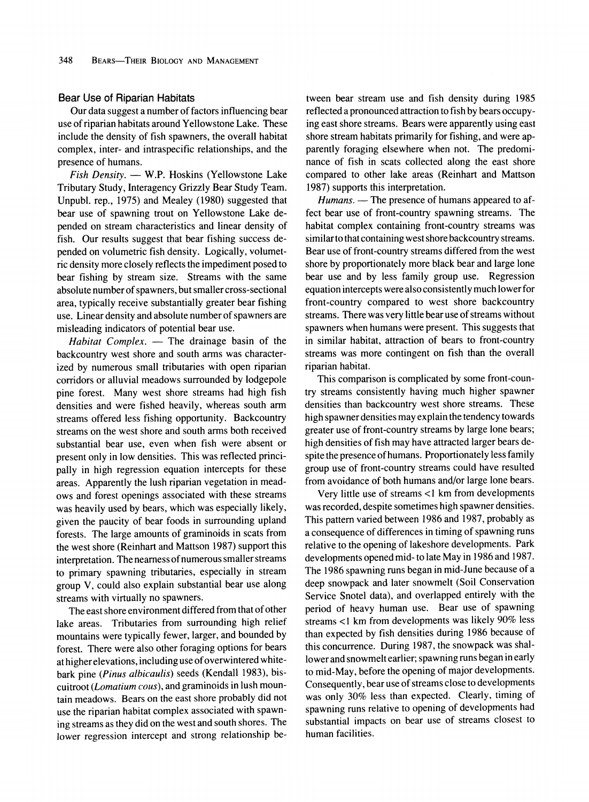#### **Bear Use of Riparian Habitats**

**Our data suggest a number of factors influencing bear use of riparian habitats around Yellowstone Lake. These include the density of fish spawners, the overall habitat complex, inter- and intraspecific relationships, and the presence of humans.** 

**Fish Density. - W.P. Hoskins (Yellowstone Lake Tributary Study, Interagency Grizzly Bear Study Team. Unpubl. rep., 1975) and Mealey (1980) suggested that bear use of spawning trout on Yellowstone Lake depended on stream characteristics and linear density of fish. Our results suggest that bear fishing success depended on volumetric fish density. Logically, volumetric density more closely reflects the impediment posed to bear fishing by stream size. Streams with the same absolute number of spawners, but smaller cross-sectional area, typically receive substantially greater bear fishing use. Linear density and absolute number of spawners are misleading indicators of potential bear use.** 

Habitat Complex. - The drainage basin of the **backcountry west shore and south arms was characterized by numerous small tributaries with open riparian corridors or alluvial meadows surrounded by lodgepole pine forest. Many west shore streams had high fish densities and were fished heavily, whereas south arm streams offered less fishing opportunity. Backcountry streams on the west shore and south arms both received substantial bear use, even when fish were absent or present only in low densities. This was reflected principally in high regression equation intercepts for these areas. Apparently the lush riparian vegetation in meadows and forest openings associated with these streams was heavily used by bears, which was especially likely, given the paucity of bear foods in surrounding upland forests. The large amounts of graminoids in scats from the west shore (Reinhart and Mattson 1987) support this interpretation. The nearness of numerous smaller streams to primary spawning tributaries, especially in stream group V, could also explain substantial bear use along streams with virtually no spawners.** 

**The east shore environment differed from that of other**  lake areas. Tributaries from surrounding high relief **mountains were typically fewer, larger, and bounded by forest. There were also other foraging options for bears at higher elevations, including use of overwintered whitebark pine (Pinus albicaulis) seeds (Kendall 1983), biscuitroot (Lomatium cous), and graminoids in lush mountain meadows. Bears on the east shore probably did not use the riparian habitat complex associated with spawning streams as they did on the west and south shores. The lower regression intercept and strong relationship be-**

**tween bear stream use and fish density during 1985 reflected a pronounced attraction to fish by bears occupying east shore streams. Bears were apparently using east shore stream habitats primarily for fishing, and were apparently foraging elsewhere when not. The predominance of fish in scats collected along the east shore compared to other lake areas (Reinhart and Mattson 1987) supports this interpretation.** 

Humans. — The presence of humans appeared to af**fect bear use of front-country spawning streams. The habitat complex containing front-country streams was similar to that containing west shore backcountry streams. Bear use of front-country streams differed from the west shore by proportionately more black bear and large lone bear use and by less family group use. Regression equation intercepts were also consistently much lower for front-country compared to west shore backcountry streams. There was very little bear use of streams without spawners when humans were present. This suggests that in similar habitat, attraction of bears to front-country streams was more contingent on fish than the overall riparian habitat.** 

**This comparison is complicated by some front-country streams consistently having much higher spawner densities than backcountry west shore streams. These high spawner densities may explain the tendency towards greater use of front-country streams by large lone bears; high densities of fish may have attracted larger bears despite the presence of humans. Proportionately less family group use of front-country streams could have resulted from avoidance of both humans and/or large lone bears.** 

**Very little use of streams <1 km from developments was recorded, despite sometimes high spawner densities. This pattern varied between 1986 and 1987, probably as a consequence of differences in timing of spawning runs relative to the opening of lakeshore developments. Park developments opened mid- to late May in 1986 and 1987. The 1986 spawning runs began in mid-June because of a deep snowpack and later snowmelt (Soil Conservation Service Snotel data), and overlapped entirely with the period of heavy human use. Bear use of spawning streams <1 km from developments was likely 90% less than expected by fish densities during 1986 because of this concurrence. During 1987, the snowpack was shallower and snowmelt earlier; spawning runs began in early to mid-May, before the opening of major developments. Consequently, bear use of streams close to developments was only 30% less than expected. Clearly, timing of spawning runs relative to opening of developments had substantial impacts on bear use of streams closest to human facilities.**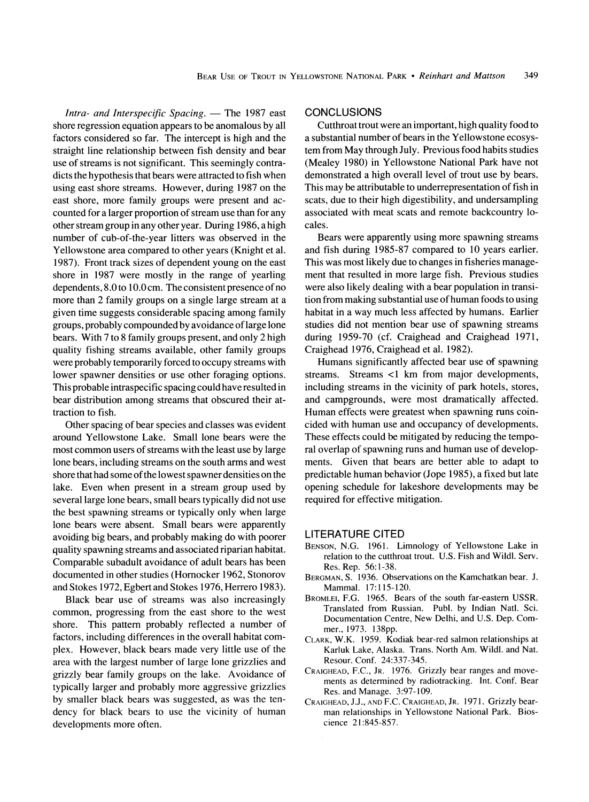Intra- and Interspecific Spacing. - The 1987 east **shore regression equation appears to be anomalous by all factors considered so far. The intercept is high and the straight line relationship between fish density and bear use of streams is not significant. This seemingly contradicts the hypothesis that bears were attracted to fish when using east shore streams. However, during 1987 on the east shore, more family groups were present and accounted for a larger proportion of stream use than for any other stream group in any other year. During 1986, a high number of cub-of-the-year litters was observed in the Yellowstone area compared to other years (Knight et al. 1987). Front track sizes of dependent young on the east shore in 1987 were mostly in the range of yearling dependents, 8.0 to 10.0 cm. The consistent presence of no more than 2 family groups on a single large stream at a given time suggests considerable spacing among family groups, probably compounded by avoidance of large lone bears. With 7 to 8 family groups present, and only 2 high quality fishing streams available, other family groups were probably temporarily forced to occupy streams with lower spawner densities or use other foraging options. This probable intraspecific spacing could have resulted in bear distribution among streams that obscured their attraction to fish.** 

**Other spacing of bear species and classes was evident around Yellowstone Lake. Small lone bears were the most common users of streams with the least use by large lone bears, including streams on the south arms and west shore that had some of the lowest spawner densities on the lake. Even when present in a stream group used by several large lone bears, small bears typically did not use the best spawning streams or typically only when large lone bears were absent. Small bears were apparently avoiding big bears, and probably making do with poorer quality spawning streams and associated riparian habitat. Comparable subadult avoidance of adult bears has been documented in other studies (Horocker 1962, Stonorov and Stokes 1972, Egbert and Stokes 1976, Herrero 1983).** 

**Black bear use of streams was also increasingly common, progressing from the east shore to the west shore. This pattern probably reflected a number of factors, including differences in the overall habitat complex. However, black bears made very little use of the area with the largest number of large lone grizzlies and grizzly bear family groups on the lake. Avoidance of typically larger and probably more aggressive grizzlies by smaller black bears was suggested, as was the tendency for black bears to use the vicinity of human developments more often.** 

## **CONCLUSIONS**

**Cutthroat trout were an important, high quality food to a substantial number of bears in the Yellowstone ecosystem from May through July. Previous food habits studies (Mealey 1980) in Yellowstone National Park have not demonstrated a high overall level of trout use by bears. This may be attributable to underrepresentation of fish in scats, due to their high digestibility, and undersampling associated with meat scats and remote backcountry locales.** 

**Bears were apparently using more spawning streams and fish during 1985-87 compared to 10 years earlier. This was most likely due to changes in fisheries management that resulted in more large fish. Previous studies were also likely dealing with a bear population in transition from making substantial use of human foods to using habitat in a way much less affected by humans. Earlier studies did not mention bear use of spawning streams during 1959-70 (cf. Craighead and Craighead 1971, Craighead 1976, Craighead et al. 1982).** 

**Humans significantly affected bear use of spawning streams. Streams <1 km from major developments, including streams in the vicinity of park hotels, stores, and campgrounds, were most dramatically affected. Human effects were greatest when spawning runs coincided with human use and occupancy of developments. These effects could be mitigated by reducing the temporal overlap of spawning runs and human use of developments. Given that bears are better able to adapt to predictable human behavior (Jope 1985), a fixed but late opening schedule for lakeshore developments may be required for effective mitigation.** 

#### **LITERATURE CITED**

- **BENSON, N.G. 1961. Limnology of Yellowstone Lake in relation to the cutthroat trout. U.S. Fish and Wildl. Serv. Res. Rep. 56:1-38.**
- **BERGMAN, S. 1936. Observations on the Kamchatkan bear. J. Mammal. 17:115-120.**
- **BROMLEI, F.G. 1965. Bears of the south far-eastern USSR. Translated from Russian. Publ. by Indian Natl. Sci. Documentation Centre, New Delhi, and U.S. Dep. Commer., 1973. 138pp.**
- **CLARK, W.K. 1959. Kodiak bear-red salmon relationships at Karluk Lake, Alaska. Trans. North Am. Wildl. and Nat. Resour. Conf. 24:337-345.**
- **CRAIGHEAD, F.C., JR. 1976. Grizzly bear ranges and movements as determined by radiotracking. Int. Conf. Bear Res. and Manage. 3:97-109.**
- **CRAIGHEAD, J.J., AND F.C. CRAIGHEAD, JR. 1971. Grizzly bearman relationships in Yellowstone National Park. Bioscience 21:845-857.**